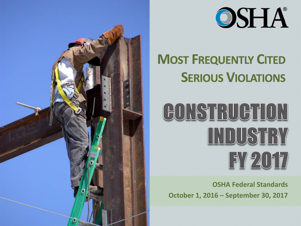



### **MOST FREQUENTLY CITED SERIOUS VIOLATIONS**

### GONSTRUGTION **INDUSTRY** FY 2017

**OSHA Federal Standards October 1, 2016 – September 30, 2017**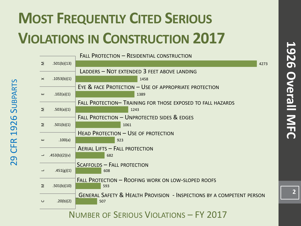### **MOST FREQUENTLY CITED SERIOUS VIOLATIONS IN CONSTRUCTION 2017**

**CFR 1926 Su** 

29

29 CFR 1926 SUBPARTS

CFR 1926 SUBPARTS

|                                        |               | FALL PROTECTION - RESIDENTIAL CONSTRUCTION                                       |      |
|----------------------------------------|---------------|----------------------------------------------------------------------------------|------|
| Σ                                      | .501(b)(13)   |                                                                                  | 4273 |
|                                        |               | LADDERS - NOT EXTENDED 3 FEET ABOVE LANDING                                      |      |
| $\times$                               | .1053(b)(1)   | 1458                                                                             |      |
|                                        |               | EYE & FACE PROTECTION - USE OF APPROPRIATE PROTECTION                            |      |
| ш                                      | .102(a)(1)    | 1389                                                                             |      |
|                                        |               | FALL PROTECTION- TRAINING FOR THOSE EXPOSED TO FALL HAZARDS                      |      |
| Σ                                      | .503(a)(1)    | 1243                                                                             |      |
|                                        |               | FALL PROTECTION - UNPROTECTED SIDES & EDGES                                      |      |
| Σ                                      | .501(b)(1)    | 1061                                                                             |      |
|                                        |               | <b>HEAD PROTECTION - USE OF PROTECTION</b>                                       |      |
| ш                                      | .100(a)       | 923                                                                              |      |
|                                        |               | <b>AERIAL LIFTS - FALL PROTECTION</b>                                            |      |
|                                        | .453(b)(2)(v) | 682                                                                              |      |
|                                        |               | <b>SCAFFOLDS - FALL PROTECTION</b>                                               |      |
|                                        | .451(g)(1)    | 608                                                                              |      |
|                                        |               | FALL PROTECTION - ROOFING WORK ON LOW-SLOPED ROOFS                               |      |
| Σ                                      | .501(b)(10)   | 593                                                                              |      |
|                                        |               | <b>GENERAL SAFETY &amp; HEALTH PROVISION - INSPECTIONS BY A COMPETENT PERSON</b> |      |
| $\cup$                                 | .20(b)(2)     | 507                                                                              |      |
| NUMBER OF SERIOUS VIOLATIONS - FY 2017 |               |                                                                                  |      |

 $\overline{2}$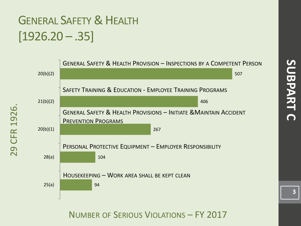# SUBPART **SUBPART C**

#### GENERAL SAFETY & HEALTH  $[1926.20-.35]$

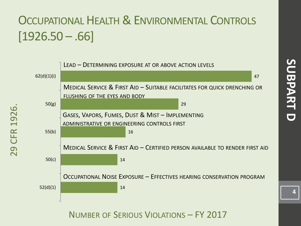#### OCCUPATIONAL HEALTH & ENVIRONMENTAL CONTROLS  $[1926.50 - .66]$



29 CFR 1926.

**CFR** 

29

1926.

NUMBER OF SERIOUS VIOLATIONS – FY 2017

**4**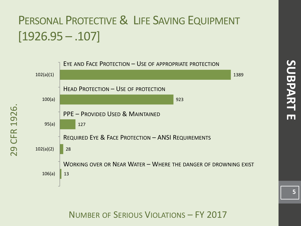#### PERSONAL PROTECTIVE & LIFE SAVING EQUIPMENT  $[1926.95 - .107]$



29 CFR 1926.

CFR

29

1926.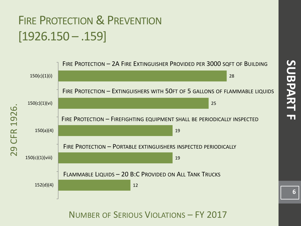#### FIRE PROTECTION & PREVENTION  $[1926.150 - .159]$

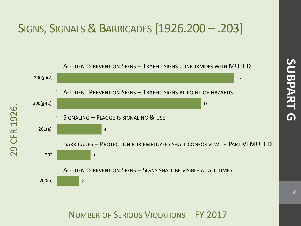#### SIGNS, SIGNALS& BARRICADES [1926.200 – .203]



NUMBER OF SERIOUS VIOLATIONS – FY 2017

**SUBPART G**

 $\blacksquare$ 

SUBPART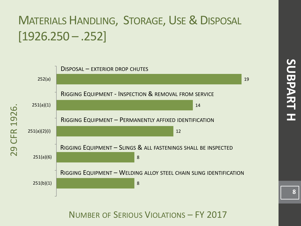#### MATERIALS HANDLING, STORAGE, USE& DISPOSAL  $[1926.250 - .252]$

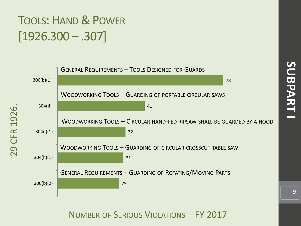## SUBPART **SUBPART I**

#### TOOLS: HAND & POWER [1926.300 – .307]

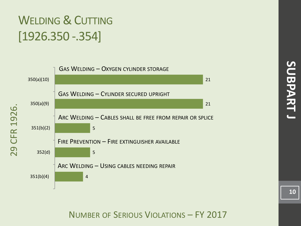#### WELDING & CUTTING [1926.350 -.354]



NUMBER OF SERIOUS VIOLATIONS – FY 2017

**10**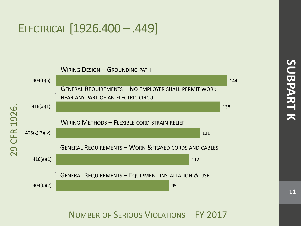#### ELECTRICAL [1926.400 – .449]

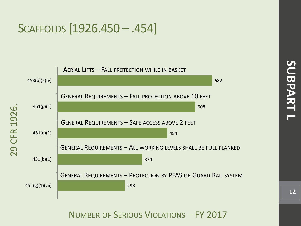#### SCAFFOLDS [1926.450 – .454]

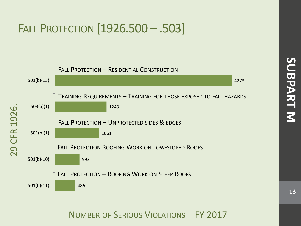#### FALL PROTECTION [1926.500 – .503]

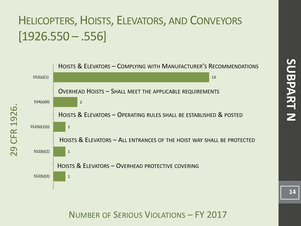#### HELICOPTERS, HOISTS, ELEVATORS, AND CONVEYORS  $[1926.550 - .556]$



**SUBPART N SUBPART N**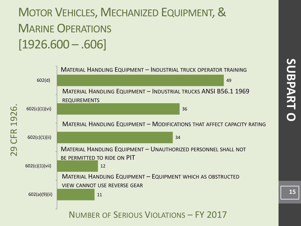#### MOTOR VEHICLES, MECHANIZED EQUIPMENT, & MARINE OPERATIONS  $[1926.600 - .606]$

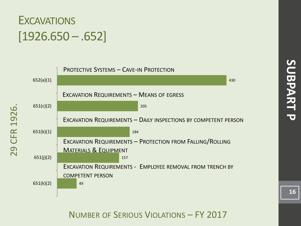

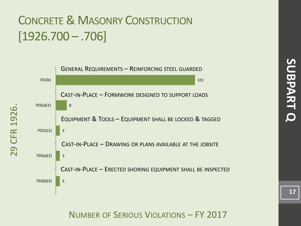#### CONCRETE& MASONRY CONSTRUCTION [1926.700 – .706]

29 CFR 1926.

CFR

29

1926

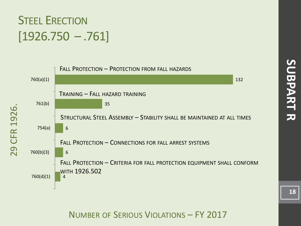#### **STEEL ERECTION**  $[1926.750 - .761]$

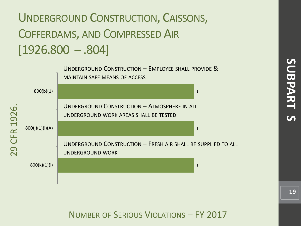#### UNDERGROUND CONSTRUCTION, CAISSONS, COFFERDAMS, AND COMPRESSED AIR  $[1926.800 - .804]$

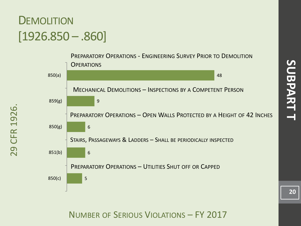## **SUBPART T SUBPART T**

#### **DEMOLITION**  $[1926.850 - .860]$

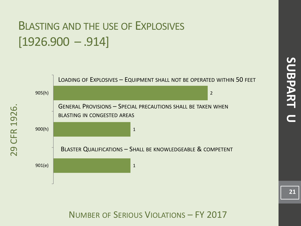#### BLASTING AND THE USE OF EXPLOSIVES  $[1926.900 - .914]$

29 CFR 1926.

CFR

29

1926

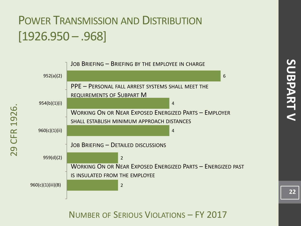#### POWER TRANSMISSION AND DISTRIBUTION [1926.950 – .968]

29 CFR 1926.

**CFR** 

29

1926.

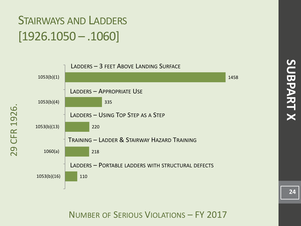#### STAIRWAYS AND LADDERS [1926.1050 – .1060]

29 CFR 1926.

29

**CFR 1926** 

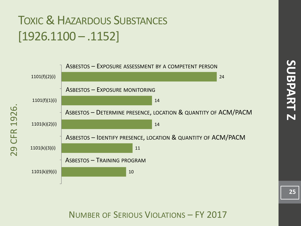#### TOXIC & HAZARDOUS SUBSTANCES [1926.1100 – .1152]

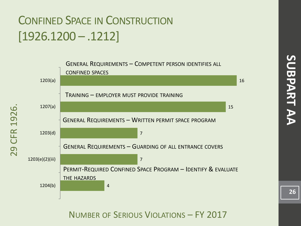#### CONFINED SPACE IN CONSTRUCTION [1926.1200 – .1212]

29 CFR 1926.

**CFR** 

29

1926